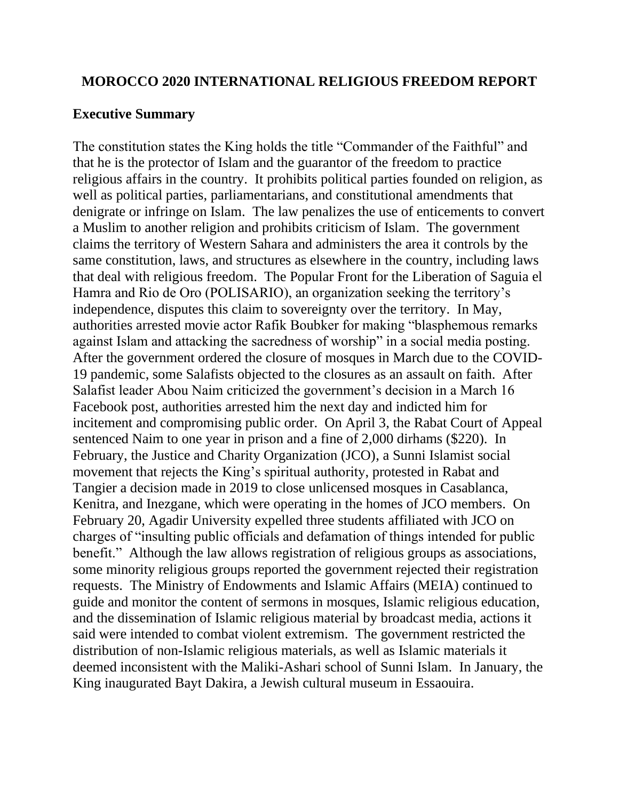#### **MOROCCO 2020 INTERNATIONAL RELIGIOUS FREEDOM REPORT**

#### **Executive Summary**

The constitution states the King holds the title "Commander of the Faithful" and that he is the protector of Islam and the guarantor of the freedom to practice religious affairs in the country. It prohibits political parties founded on religion, as well as political parties, parliamentarians, and constitutional amendments that denigrate or infringe on Islam. The law penalizes the use of enticements to convert a Muslim to another religion and prohibits criticism of Islam. The government claims the territory of Western Sahara and administers the area it controls by the same constitution, laws, and structures as elsewhere in the country, including laws that deal with religious freedom. The Popular Front for the Liberation of Saguia el Hamra and Rio de Oro (POLISARIO), an organization seeking the territory's independence, disputes this claim to sovereignty over the territory. In May, authorities arrested movie actor Rafik Boubker for making "blasphemous remarks against Islam and attacking the sacredness of worship" in a social media posting. After the government ordered the closure of mosques in March due to the COVID-19 pandemic, some Salafists objected to the closures as an assault on faith. After Salafist leader Abou Naim criticized the government's decision in a March 16 Facebook post, authorities arrested him the next day and indicted him for incitement and compromising public order. On April 3, the Rabat Court of Appeal sentenced Naim to one year in prison and a fine of 2,000 dirhams (\$220). In February, the Justice and Charity Organization (JCO), a Sunni Islamist social movement that rejects the King's spiritual authority, protested in Rabat and Tangier a decision made in 2019 to close unlicensed mosques in Casablanca, Kenitra, and Inezgane, which were operating in the homes of JCO members. On February 20, Agadir University expelled three students affiliated with JCO on charges of "insulting public officials and defamation of things intended for public benefit." Although the law allows registration of religious groups as associations, some minority religious groups reported the government rejected their registration requests. The Ministry of Endowments and Islamic Affairs (MEIA) continued to guide and monitor the content of sermons in mosques, Islamic religious education, and the dissemination of Islamic religious material by broadcast media, actions it said were intended to combat violent extremism. The government restricted the distribution of non-Islamic religious materials, as well as Islamic materials it deemed inconsistent with the Maliki-Ashari school of Sunni Islam. In January, the King inaugurated Bayt Dakira, a Jewish cultural museum in Essaouira.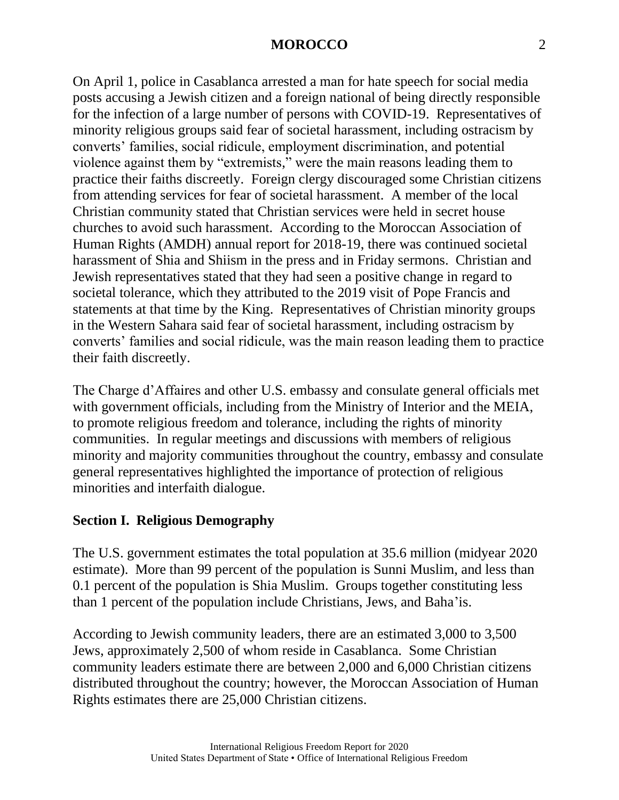On April 1, police in Casablanca arrested a man for hate speech for social media posts accusing a Jewish citizen and a foreign national of being directly responsible for the infection of a large number of persons with COVID-19. Representatives of minority religious groups said fear of societal harassment, including ostracism by converts' families, social ridicule, employment discrimination, and potential violence against them by "extremists," were the main reasons leading them to practice their faiths discreetly. Foreign clergy discouraged some Christian citizens from attending services for fear of societal harassment. A member of the local Christian community stated that Christian services were held in secret house churches to avoid such harassment. According to the Moroccan Association of Human Rights (AMDH) annual report for 2018-19, there was continued societal harassment of Shia and Shiism in the press and in Friday sermons. Christian and Jewish representatives stated that they had seen a positive change in regard to societal tolerance, which they attributed to the 2019 visit of Pope Francis and statements at that time by the King. Representatives of Christian minority groups in the Western Sahara said fear of societal harassment, including ostracism by converts' families and social ridicule, was the main reason leading them to practice their faith discreetly.

The Charge d'Affaires and other U.S. embassy and consulate general officials met with government officials, including from the Ministry of Interior and the MEIA, to promote religious freedom and tolerance, including the rights of minority communities. In regular meetings and discussions with members of religious minority and majority communities throughout the country, embassy and consulate general representatives highlighted the importance of protection of religious minorities and interfaith dialogue.

### **Section I. Religious Demography**

The U.S. government estimates the total population at 35.6 million (midyear 2020 estimate). More than 99 percent of the population is Sunni Muslim, and less than 0.1 percent of the population is Shia Muslim. Groups together constituting less than 1 percent of the population include Christians, Jews, and Baha'is.

According to Jewish community leaders, there are an estimated 3,000 to 3,500 Jews, approximately 2,500 of whom reside in Casablanca. Some Christian community leaders estimate there are between 2,000 and 6,000 Christian citizens distributed throughout the country; however, the Moroccan Association of Human Rights estimates there are 25,000 Christian citizens.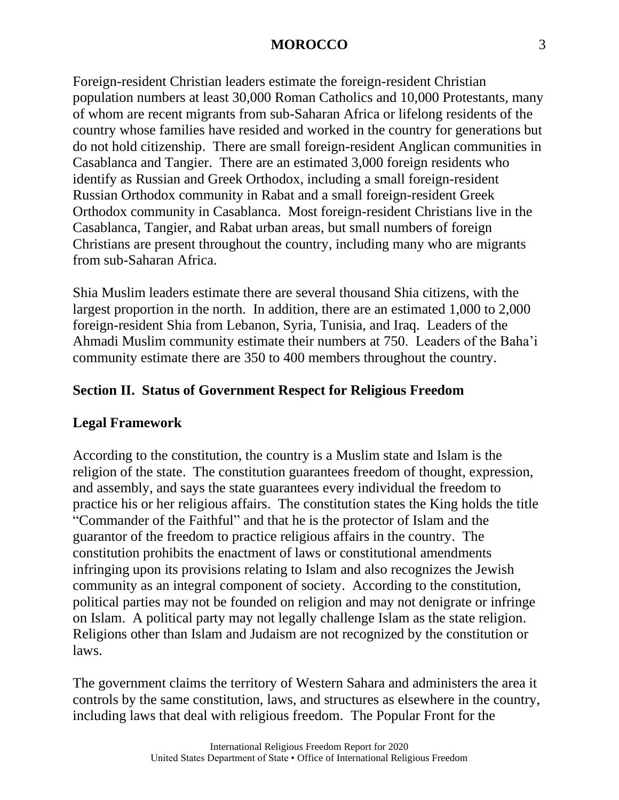Foreign-resident Christian leaders estimate the foreign-resident Christian population numbers at least 30,000 Roman Catholics and 10,000 Protestants, many of whom are recent migrants from sub-Saharan Africa or lifelong residents of the country whose families have resided and worked in the country for generations but do not hold citizenship. There are small foreign-resident Anglican communities in Casablanca and Tangier. There are an estimated 3,000 foreign residents who identify as Russian and Greek Orthodox, including a small foreign-resident Russian Orthodox community in Rabat and a small foreign-resident Greek Orthodox community in Casablanca. Most foreign-resident Christians live in the Casablanca, Tangier, and Rabat urban areas, but small numbers of foreign Christians are present throughout the country, including many who are migrants from sub-Saharan Africa.

Shia Muslim leaders estimate there are several thousand Shia citizens, with the largest proportion in the north. In addition, there are an estimated 1,000 to 2,000 foreign-resident Shia from Lebanon, Syria, Tunisia, and Iraq. Leaders of the Ahmadi Muslim community estimate their numbers at 750. Leaders of the Baha'i community estimate there are 350 to 400 members throughout the country.

### **Section II. Status of Government Respect for Religious Freedom**

### **Legal Framework**

According to the constitution, the country is a Muslim state and Islam is the religion of the state. The constitution guarantees freedom of thought, expression, and assembly, and says the state guarantees every individual the freedom to practice his or her religious affairs. The constitution states the King holds the title "Commander of the Faithful" and that he is the protector of Islam and the guarantor of the freedom to practice religious affairs in the country. The constitution prohibits the enactment of laws or constitutional amendments infringing upon its provisions relating to Islam and also recognizes the Jewish community as an integral component of society. According to the constitution, political parties may not be founded on religion and may not denigrate or infringe on Islam. A political party may not legally challenge Islam as the state religion. Religions other than Islam and Judaism are not recognized by the constitution or laws.

The government claims the territory of Western Sahara and administers the area it controls by the same constitution, laws, and structures as elsewhere in the country, including laws that deal with religious freedom. The Popular Front for the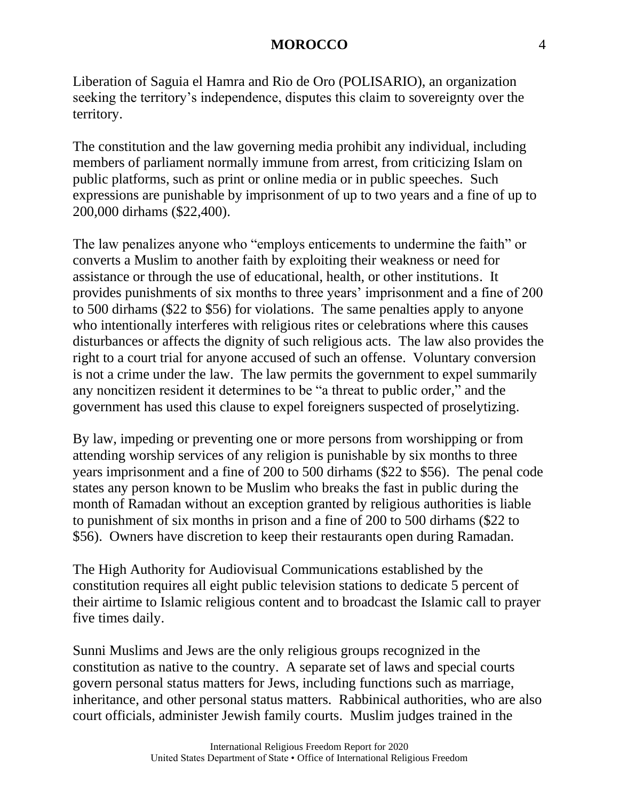Liberation of Saguia el Hamra and Rio de Oro (POLISARIO), an organization seeking the territory's independence, disputes this claim to sovereignty over the territory.

The constitution and the law governing media prohibit any individual, including members of parliament normally immune from arrest, from criticizing Islam on public platforms, such as print or online media or in public speeches. Such expressions are punishable by imprisonment of up to two years and a fine of up to 200,000 dirhams (\$22,400).

The law penalizes anyone who "employs enticements to undermine the faith" or converts a Muslim to another faith by exploiting their weakness or need for assistance or through the use of educational, health, or other institutions. It provides punishments of six months to three years' imprisonment and a fine of 200 to 500 dirhams (\$22 to \$56) for violations. The same penalties apply to anyone who intentionally interferes with religious rites or celebrations where this causes disturbances or affects the dignity of such religious acts. The law also provides the right to a court trial for anyone accused of such an offense. Voluntary conversion is not a crime under the law. The law permits the government to expel summarily any noncitizen resident it determines to be "a threat to public order," and the government has used this clause to expel foreigners suspected of proselytizing.

By law, impeding or preventing one or more persons from worshipping or from attending worship services of any religion is punishable by six months to three years imprisonment and a fine of 200 to 500 dirhams (\$22 to \$56). The penal code states any person known to be Muslim who breaks the fast in public during the month of Ramadan without an exception granted by religious authorities is liable to punishment of six months in prison and a fine of 200 to 500 dirhams (\$22 to \$56). Owners have discretion to keep their restaurants open during Ramadan.

The High Authority for Audiovisual Communications established by the constitution requires all eight public television stations to dedicate 5 percent of their airtime to Islamic religious content and to broadcast the Islamic call to prayer five times daily.

Sunni Muslims and Jews are the only religious groups recognized in the constitution as native to the country. A separate set of laws and special courts govern personal status matters for Jews, including functions such as marriage, inheritance, and other personal status matters. Rabbinical authorities, who are also court officials, administer Jewish family courts. Muslim judges trained in the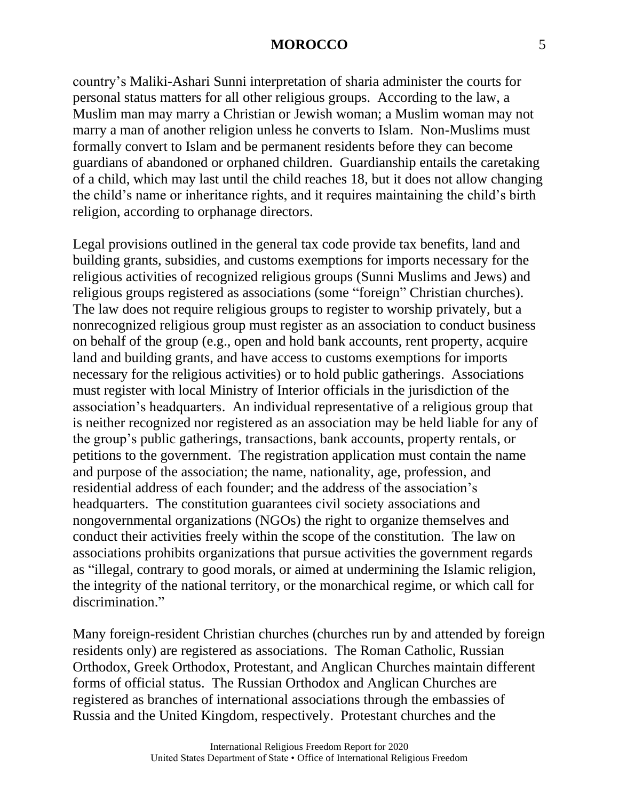country's Maliki-Ashari Sunni interpretation of sharia administer the courts for personal status matters for all other religious groups. According to the law, a Muslim man may marry a Christian or Jewish woman; a Muslim woman may not marry a man of another religion unless he converts to Islam. Non-Muslims must formally convert to Islam and be permanent residents before they can become guardians of abandoned or orphaned children. Guardianship entails the caretaking of a child, which may last until the child reaches 18, but it does not allow changing the child's name or inheritance rights, and it requires maintaining the child's birth religion, according to orphanage directors.

Legal provisions outlined in the general tax code provide tax benefits, land and building grants, subsidies, and customs exemptions for imports necessary for the religious activities of recognized religious groups (Sunni Muslims and Jews) and religious groups registered as associations (some "foreign" Christian churches). The law does not require religious groups to register to worship privately, but a nonrecognized religious group must register as an association to conduct business on behalf of the group (e.g., open and hold bank accounts, rent property, acquire land and building grants, and have access to customs exemptions for imports necessary for the religious activities) or to hold public gatherings. Associations must register with local Ministry of Interior officials in the jurisdiction of the association's headquarters. An individual representative of a religious group that is neither recognized nor registered as an association may be held liable for any of the group's public gatherings, transactions, bank accounts, property rentals, or petitions to the government. The registration application must contain the name and purpose of the association; the name, nationality, age, profession, and residential address of each founder; and the address of the association's headquarters. The constitution guarantees civil society associations and nongovernmental organizations (NGOs) the right to organize themselves and conduct their activities freely within the scope of the constitution. The law on associations prohibits organizations that pursue activities the government regards as "illegal, contrary to good morals, or aimed at undermining the Islamic religion, the integrity of the national territory, or the monarchical regime, or which call for discrimination."

Many foreign-resident Christian churches (churches run by and attended by foreign residents only) are registered as associations. The Roman Catholic, Russian Orthodox, Greek Orthodox, Protestant, and Anglican Churches maintain different forms of official status. The Russian Orthodox and Anglican Churches are registered as branches of international associations through the embassies of Russia and the United Kingdom, respectively. Protestant churches and the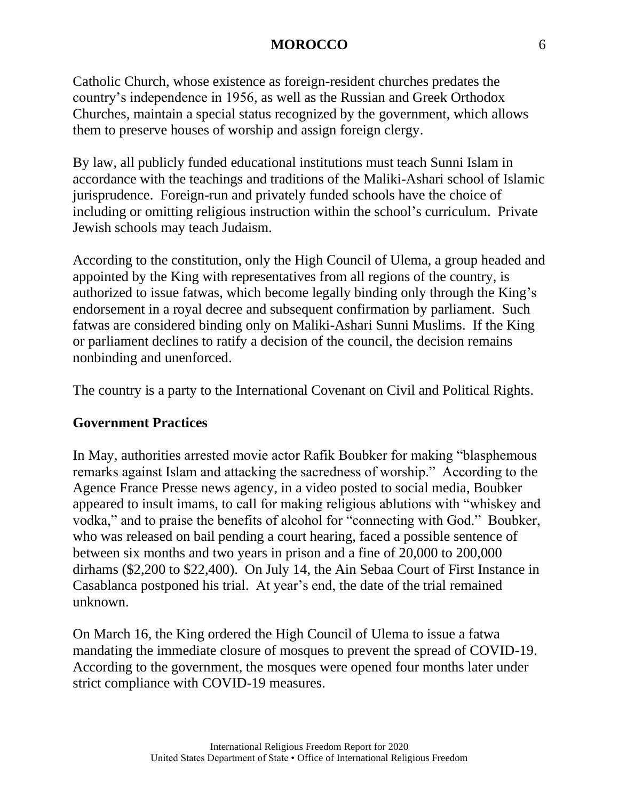Catholic Church, whose existence as foreign-resident churches predates the country's independence in 1956, as well as the Russian and Greek Orthodox Churches, maintain a special status recognized by the government, which allows them to preserve houses of worship and assign foreign clergy.

By law, all publicly funded educational institutions must teach Sunni Islam in accordance with the teachings and traditions of the Maliki-Ashari school of Islamic jurisprudence. Foreign-run and privately funded schools have the choice of including or omitting religious instruction within the school's curriculum. Private Jewish schools may teach Judaism.

According to the constitution, only the High Council of Ulema, a group headed and appointed by the King with representatives from all regions of the country, is authorized to issue fatwas, which become legally binding only through the King's endorsement in a royal decree and subsequent confirmation by parliament. Such fatwas are considered binding only on Maliki-Ashari Sunni Muslims. If the King or parliament declines to ratify a decision of the council, the decision remains nonbinding and unenforced.

The country is a party to the International Covenant on Civil and Political Rights.

### **Government Practices**

In May, authorities arrested movie actor Rafik Boubker for making "blasphemous remarks against Islam and attacking the sacredness of worship." According to the Agence France Presse news agency, in a video posted to social media, Boubker appeared to insult imams, to call for making religious ablutions with "whiskey and vodka," and to praise the benefits of alcohol for "connecting with God." Boubker, who was released on bail pending a court hearing, faced a possible sentence of between six months and two years in prison and a fine of 20,000 to 200,000 dirhams (\$2,200 to \$22,400). On July 14, the Ain Sebaa Court of First Instance in Casablanca postponed his trial. At year's end, the date of the trial remained unknown.

On March 16, the King ordered the High Council of Ulema to issue a fatwa mandating the immediate closure of mosques to prevent the spread of COVID-19. According to the government, the mosques were opened four months later under strict compliance with COVID-19 measures.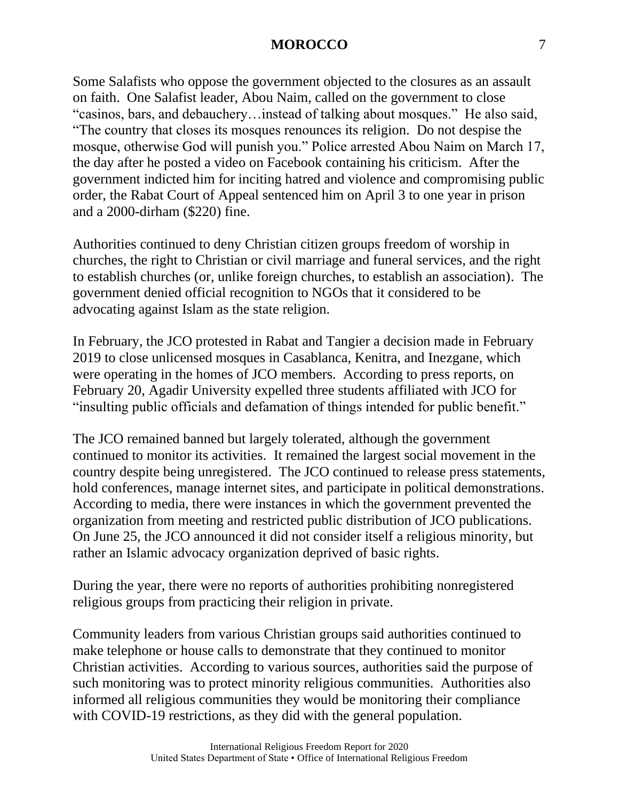Some Salafists who oppose the government objected to the closures as an assault on faith. One Salafist leader, Abou Naim, called on the government to close "casinos, bars, and debauchery…instead of talking about mosques." He also said, "The country that closes its mosques renounces its religion. Do not despise the mosque, otherwise God will punish you." Police arrested Abou Naim on March 17, the day after he posted a video on Facebook containing his criticism. After the government indicted him for inciting hatred and violence and compromising public order, the Rabat Court of Appeal sentenced him on April 3 to one year in prison and a 2000-dirham (\$220) fine.

Authorities continued to deny Christian citizen groups freedom of worship in churches, the right to Christian or civil marriage and funeral services, and the right to establish churches (or, unlike foreign churches, to establish an association). The government denied official recognition to NGOs that it considered to be advocating against Islam as the state religion.

In February, the JCO protested in Rabat and Tangier a decision made in February 2019 to close unlicensed mosques in Casablanca, Kenitra, and Inezgane, which were operating in the homes of JCO members. According to press reports, on February 20, Agadir University expelled three students affiliated with JCO for "insulting public officials and defamation of things intended for public benefit."

The JCO remained banned but largely tolerated, although the government continued to monitor its activities. It remained the largest social movement in the country despite being unregistered. The JCO continued to release press statements, hold conferences, manage internet sites, and participate in political demonstrations. According to media, there were instances in which the government prevented the organization from meeting and restricted public distribution of JCO publications. On June 25, the JCO announced it did not consider itself a religious minority, but rather an Islamic advocacy organization deprived of basic rights.

During the year, there were no reports of authorities prohibiting nonregistered religious groups from practicing their religion in private.

Community leaders from various Christian groups said authorities continued to make telephone or house calls to demonstrate that they continued to monitor Christian activities. According to various sources, authorities said the purpose of such monitoring was to protect minority religious communities. Authorities also informed all religious communities they would be monitoring their compliance with COVID-19 restrictions, as they did with the general population.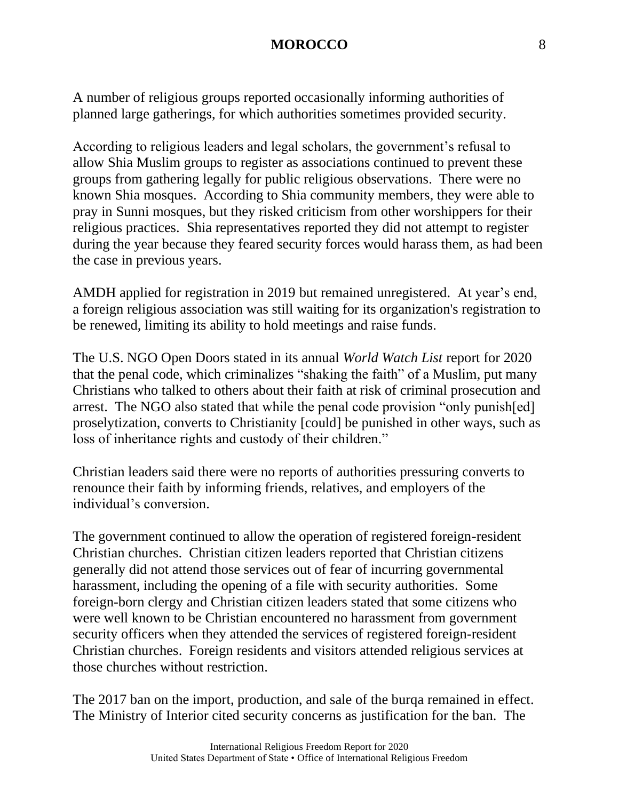A number of religious groups reported occasionally informing authorities of planned large gatherings, for which authorities sometimes provided security.

According to religious leaders and legal scholars, the government's refusal to allow Shia Muslim groups to register as associations continued to prevent these groups from gathering legally for public religious observations. There were no known Shia mosques. According to Shia community members, they were able to pray in Sunni mosques, but they risked criticism from other worshippers for their religious practices. Shia representatives reported they did not attempt to register during the year because they feared security forces would harass them, as had been the case in previous years.

AMDH applied for registration in 2019 but remained unregistered. At year's end, a foreign religious association was still waiting for its organization's registration to be renewed, limiting its ability to hold meetings and raise funds.

The U.S. NGO Open Doors stated in its annual *World Watch List* report for 2020 that the penal code, which criminalizes "shaking the faith" of a Muslim, put many Christians who talked to others about their faith at risk of criminal prosecution and arrest. The NGO also stated that while the penal code provision "only punish[ed] proselytization, converts to Christianity [could] be punished in other ways, such as loss of inheritance rights and custody of their children."

Christian leaders said there were no reports of authorities pressuring converts to renounce their faith by informing friends, relatives, and employers of the individual's conversion.

The government continued to allow the operation of registered foreign-resident Christian churches. Christian citizen leaders reported that Christian citizens generally did not attend those services out of fear of incurring governmental harassment, including the opening of a file with security authorities. Some foreign-born clergy and Christian citizen leaders stated that some citizens who were well known to be Christian encountered no harassment from government security officers when they attended the services of registered foreign-resident Christian churches. Foreign residents and visitors attended religious services at those churches without restriction.

The 2017 ban on the import, production, and sale of the burqa remained in effect. The Ministry of Interior cited security concerns as justification for the ban. The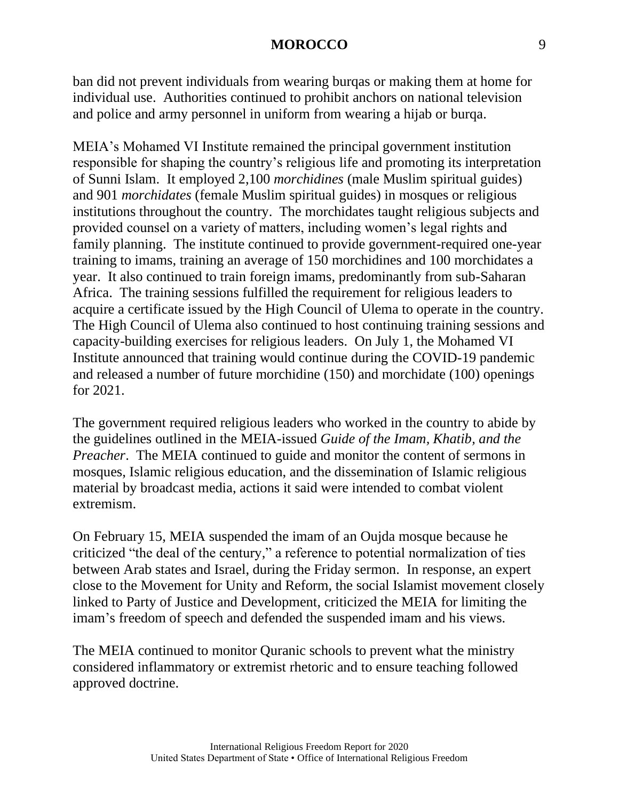ban did not prevent individuals from wearing burqas or making them at home for individual use. Authorities continued to prohibit anchors on national television and police and army personnel in uniform from wearing a hijab or burqa.

MEIA's Mohamed VI Institute remained the principal government institution responsible for shaping the country's religious life and promoting its interpretation of Sunni Islam. It employed 2,100 *morchidines* (male Muslim spiritual guides) and 901 *morchidates* (female Muslim spiritual guides) in mosques or religious institutions throughout the country. The morchidates taught religious subjects and provided counsel on a variety of matters, including women's legal rights and family planning. The institute continued to provide government-required one-year training to imams, training an average of 150 morchidines and 100 morchidates a year. It also continued to train foreign imams, predominantly from sub-Saharan Africa. The training sessions fulfilled the requirement for religious leaders to acquire a certificate issued by the High Council of Ulema to operate in the country. The High Council of Ulema also continued to host continuing training sessions and capacity-building exercises for religious leaders. On July 1, the Mohamed VI Institute announced that training would continue during the COVID-19 pandemic and released a number of future morchidine (150) and morchidate (100) openings for 2021.

The government required religious leaders who worked in the country to abide by the guidelines outlined in the MEIA-issued *Guide of the Imam, Khatib, and the Preacher.* The MEIA continued to guide and monitor the content of sermons in mosques, Islamic religious education, and the dissemination of Islamic religious material by broadcast media, actions it said were intended to combat violent extremism.

On February 15, MEIA suspended the imam of an Oujda mosque because he criticized "the deal of the century," a reference to potential normalization of ties between Arab states and Israel, during the Friday sermon. In response, an expert close to the Movement for Unity and Reform, the social Islamist movement closely linked to Party of Justice and Development, criticized the MEIA for limiting the imam's freedom of speech and defended the suspended imam and his views.

The MEIA continued to monitor Quranic schools to prevent what the ministry considered inflammatory or extremist rhetoric and to ensure teaching followed approved doctrine.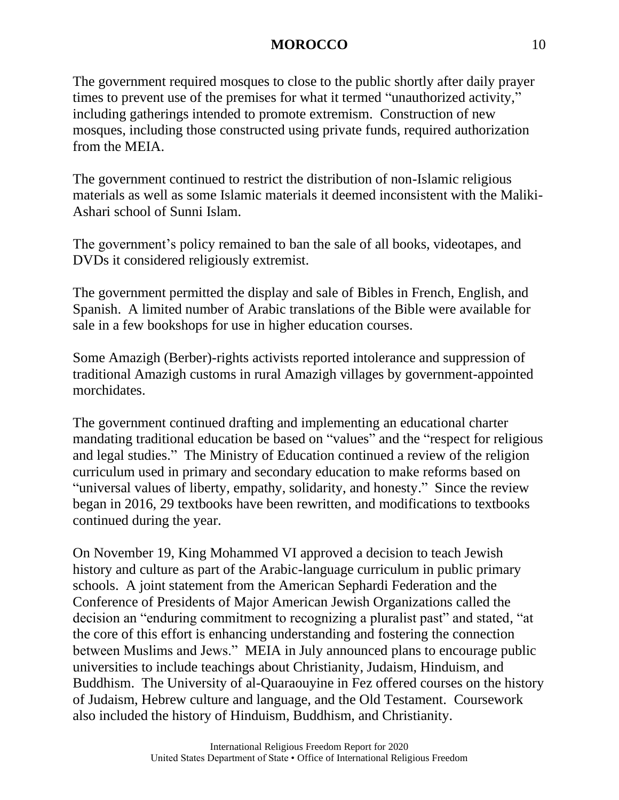The government required mosques to close to the public shortly after daily prayer times to prevent use of the premises for what it termed "unauthorized activity," including gatherings intended to promote extremism. Construction of new mosques, including those constructed using private funds, required authorization from the MEIA.

The government continued to restrict the distribution of non-Islamic religious materials as well as some Islamic materials it deemed inconsistent with the Maliki-Ashari school of Sunni Islam.

The government's policy remained to ban the sale of all books, videotapes, and DVDs it considered religiously extremist.

The government permitted the display and sale of Bibles in French, English, and Spanish. A limited number of Arabic translations of the Bible were available for sale in a few bookshops for use in higher education courses.

Some Amazigh (Berber)-rights activists reported intolerance and suppression of traditional Amazigh customs in rural Amazigh villages by government-appointed morchidates.

The government continued drafting and implementing an educational charter mandating traditional education be based on "values" and the "respect for religious and legal studies." The Ministry of Education continued a review of the religion curriculum used in primary and secondary education to make reforms based on "universal values of liberty, empathy, solidarity, and honesty." Since the review began in 2016, 29 textbooks have been rewritten, and modifications to textbooks continued during the year.

On November 19, King Mohammed VI approved a decision to teach Jewish history and culture as part of the Arabic-language curriculum in public primary schools. A joint statement from the American Sephardi Federation and the Conference of Presidents of Major American Jewish Organizations called the decision an "enduring commitment to recognizing a pluralist past" and stated, "at the core of this effort is enhancing understanding and fostering the connection between Muslims and Jews." MEIA in July announced plans to encourage public universities to include teachings about Christianity, Judaism, Hinduism, and Buddhism. The University of al-Quaraouyine in Fez offered courses on the history of Judaism, Hebrew culture and language, and the Old Testament. Coursework also included the history of Hinduism, Buddhism, and Christianity.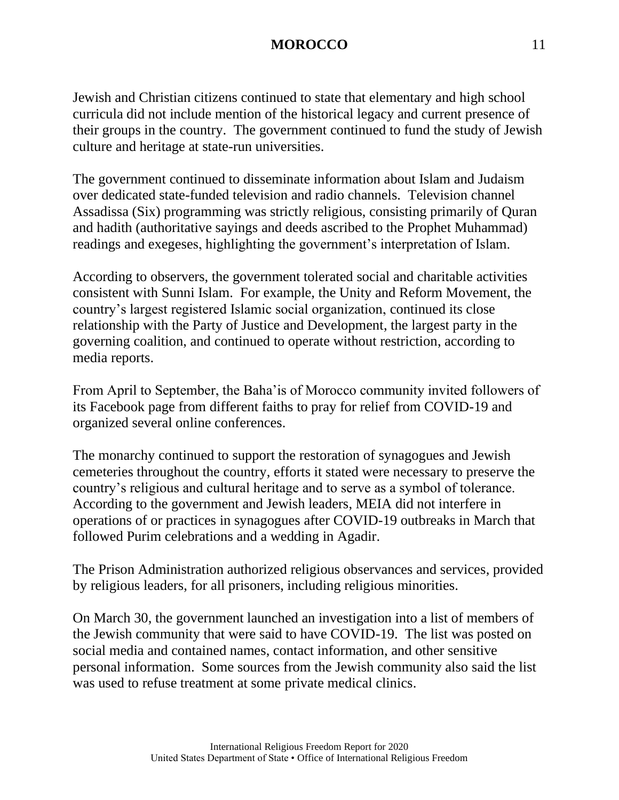Jewish and Christian citizens continued to state that elementary and high school curricula did not include mention of the historical legacy and current presence of their groups in the country. The government continued to fund the study of Jewish culture and heritage at state-run universities.

The government continued to disseminate information about Islam and Judaism over dedicated state-funded television and radio channels. Television channel Assadissa (Six) programming was strictly religious, consisting primarily of Quran and hadith (authoritative sayings and deeds ascribed to the Prophet Muhammad) readings and exegeses, highlighting the government's interpretation of Islam.

According to observers, the government tolerated social and charitable activities consistent with Sunni Islam. For example, the Unity and Reform Movement, the country's largest registered Islamic social organization, continued its close relationship with the Party of Justice and Development, the largest party in the governing coalition, and continued to operate without restriction, according to media reports.

From April to September, the Baha'is of Morocco community invited followers of its Facebook page from different faiths to pray for relief from COVID-19 and organized several online conferences.

The monarchy continued to support the restoration of synagogues and Jewish cemeteries throughout the country, efforts it stated were necessary to preserve the country's religious and cultural heritage and to serve as a symbol of tolerance. According to the government and Jewish leaders, MEIA did not interfere in operations of or practices in synagogues after COVID-19 outbreaks in March that followed Purim celebrations and a wedding in Agadir.

The Prison Administration authorized religious observances and services, provided by religious leaders, for all prisoners, including religious minorities.

On March 30, the government launched an investigation into a list of members of the Jewish community that were said to have COVID-19. The list was posted on social media and contained names, contact information, and other sensitive personal information. Some sources from the Jewish community also said the list was used to refuse treatment at some private medical clinics.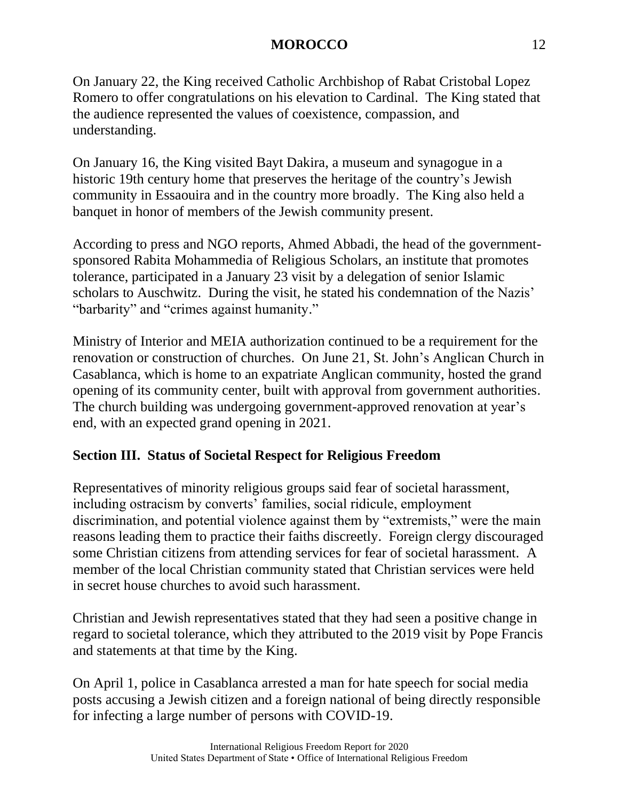On January 22, the King received Catholic Archbishop of Rabat Cristobal Lopez Romero to offer congratulations on his elevation to Cardinal. The King stated that the audience represented the values of coexistence, compassion, and understanding.

On January 16, the King visited Bayt Dakira, a museum and synagogue in a historic 19th century home that preserves the heritage of the country's Jewish community in Essaouira and in the country more broadly. The King also held a banquet in honor of members of the Jewish community present.

According to press and NGO reports, Ahmed Abbadi, the head of the governmentsponsored Rabita Mohammedia of Religious Scholars, an institute that promotes tolerance, participated in a January 23 visit by a delegation of senior Islamic scholars to Auschwitz. During the visit, he stated his condemnation of the Nazis' "barbarity" and "crimes against humanity."

Ministry of Interior and MEIA authorization continued to be a requirement for the renovation or construction of churches. On June 21, St. John's Anglican Church in Casablanca, which is home to an expatriate Anglican community, hosted the grand opening of its community center, built with approval from government authorities. The church building was undergoing government-approved renovation at year's end, with an expected grand opening in 2021.

# **Section III. Status of Societal Respect for Religious Freedom**

Representatives of minority religious groups said fear of societal harassment, including ostracism by converts' families, social ridicule, employment discrimination, and potential violence against them by "extremists," were the main reasons leading them to practice their faiths discreetly. Foreign clergy discouraged some Christian citizens from attending services for fear of societal harassment. A member of the local Christian community stated that Christian services were held in secret house churches to avoid such harassment.

Christian and Jewish representatives stated that they had seen a positive change in regard to societal tolerance, which they attributed to the 2019 visit by Pope Francis and statements at that time by the King.

On April 1, police in Casablanca arrested a man for hate speech for social media posts accusing a Jewish citizen and a foreign national of being directly responsible for infecting a large number of persons with COVID-19.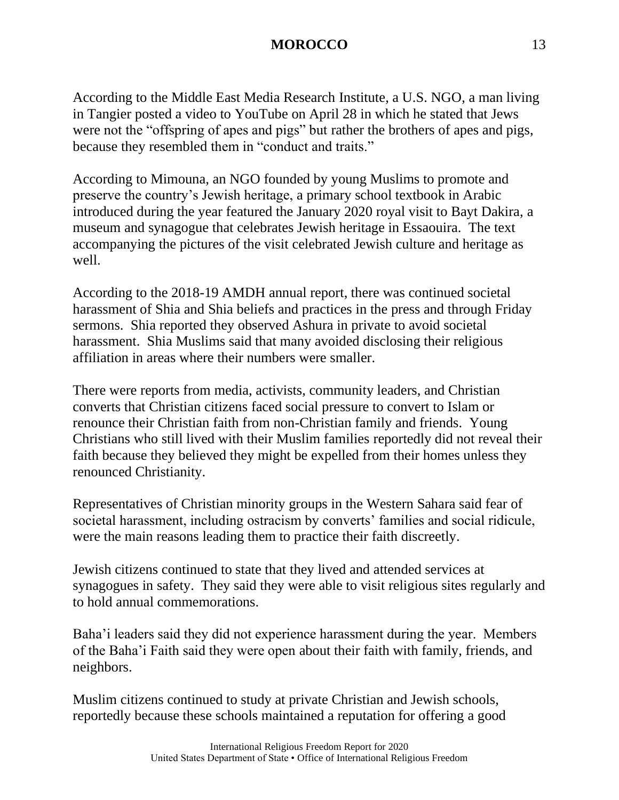According to the Middle East Media Research Institute, a U.S. NGO, a man living in Tangier posted a video to YouTube on April 28 in which he stated that Jews were not the "offspring of apes and pigs" but rather the brothers of apes and pigs, because they resembled them in "conduct and traits."

According to Mimouna, an NGO founded by young Muslims to promote and preserve the country's Jewish heritage, a primary school textbook in Arabic introduced during the year featured the January 2020 royal visit to Bayt Dakira, a museum and synagogue that celebrates Jewish heritage in Essaouira. The text accompanying the pictures of the visit celebrated Jewish culture and heritage as well.

According to the 2018-19 AMDH annual report, there was continued societal harassment of Shia and Shia beliefs and practices in the press and through Friday sermons. Shia reported they observed Ashura in private to avoid societal harassment. Shia Muslims said that many avoided disclosing their religious affiliation in areas where their numbers were smaller.

There were reports from media, activists, community leaders, and Christian converts that Christian citizens faced social pressure to convert to Islam or renounce their Christian faith from non-Christian family and friends. Young Christians who still lived with their Muslim families reportedly did not reveal their faith because they believed they might be expelled from their homes unless they renounced Christianity.

Representatives of Christian minority groups in the Western Sahara said fear of societal harassment, including ostracism by converts' families and social ridicule, were the main reasons leading them to practice their faith discreetly.

Jewish citizens continued to state that they lived and attended services at synagogues in safety. They said they were able to visit religious sites regularly and to hold annual commemorations.

Baha'i leaders said they did not experience harassment during the year. Members of the Baha'i Faith said they were open about their faith with family, friends, and neighbors.

Muslim citizens continued to study at private Christian and Jewish schools, reportedly because these schools maintained a reputation for offering a good